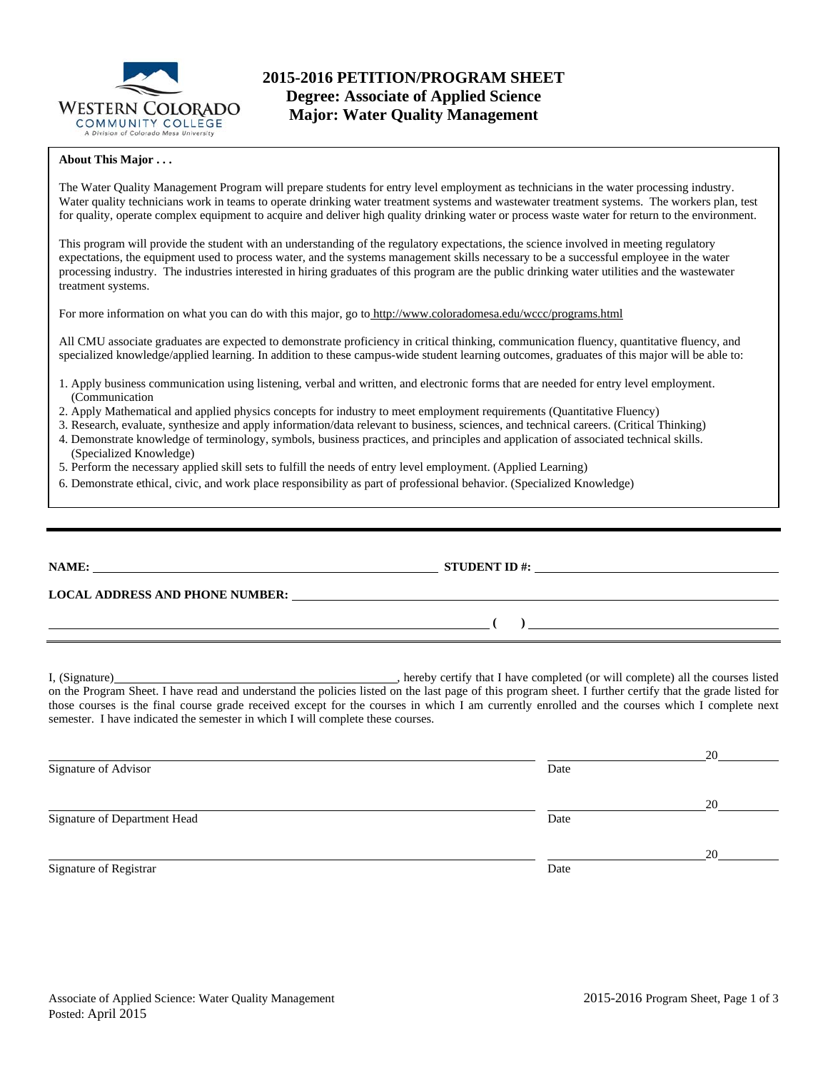

#### **About This Major . . .**

The Water Quality Management Program will prepare students for entry level employment as technicians in the water processing industry. Water quality technicians work in teams to operate drinking water treatment systems and wastewater treatment systems. The workers plan, test for quality, operate complex equipment to acquire and deliver high quality drinking water or process waste water for return to the environment.

This program will provide the student with an understanding of the regulatory expectations, the science involved in meeting regulatory expectations, the equipment used to process water, and the systems management skills necessary to be a successful employee in the water processing industry. The industries interested in hiring graduates of this program are the public drinking water utilities and the wastewater treatment systems.

For more information on what you can do with this major, go to http://www.coloradomesa.edu/wccc/programs.html

All CMU associate graduates are expected to demonstrate proficiency in critical thinking, communication fluency, quantitative fluency, and specialized knowledge/applied learning. In addition to these campus-wide student learning outcomes, graduates of this major will be able to:

- 1. Apply business communication using listening, verbal and written, and electronic forms that are needed for entry level employment. (Communication
- 2. Apply Mathematical and applied physics concepts for industry to meet employment requirements (Quantitative Fluency)
- 3. Research, evaluate, synthesize and apply information/data relevant to business, sciences, and technical careers. (Critical Thinking)
- 4. Demonstrate knowledge of terminology, symbols, business practices, and principles and application of associated technical skills. (Specialized Knowledge)
- 5. Perform the necessary applied skill sets to fulfill the needs of entry level employment. (Applied Learning)
- 6. Demonstrate ethical, civic, and work place responsibility as part of professional behavior. (Specialized Knowledge)

| NAME:                                  | <b>STUDENT ID #:</b> |
|----------------------------------------|----------------------|
| <b>LOCAL ADDRESS AND PHONE NUMBER:</b> |                      |
|                                        |                      |

I, (Signature) , hereby certify that I have completed (or will complete) all the courses listed on the Program Sheet. I have read and understand the policies listed on the last page of this program sheet. I further certify that the grade listed for those courses is the final course grade received except for the courses in which I am currently enrolled and the courses which I complete next semester. I have indicated the semester in which I will complete these courses.

|                              |      | 20 |
|------------------------------|------|----|
| Signature of Advisor         | Date |    |
|                              |      | 20 |
| Signature of Department Head | Date |    |
|                              |      | 20 |
| Signature of Registrar       | Date |    |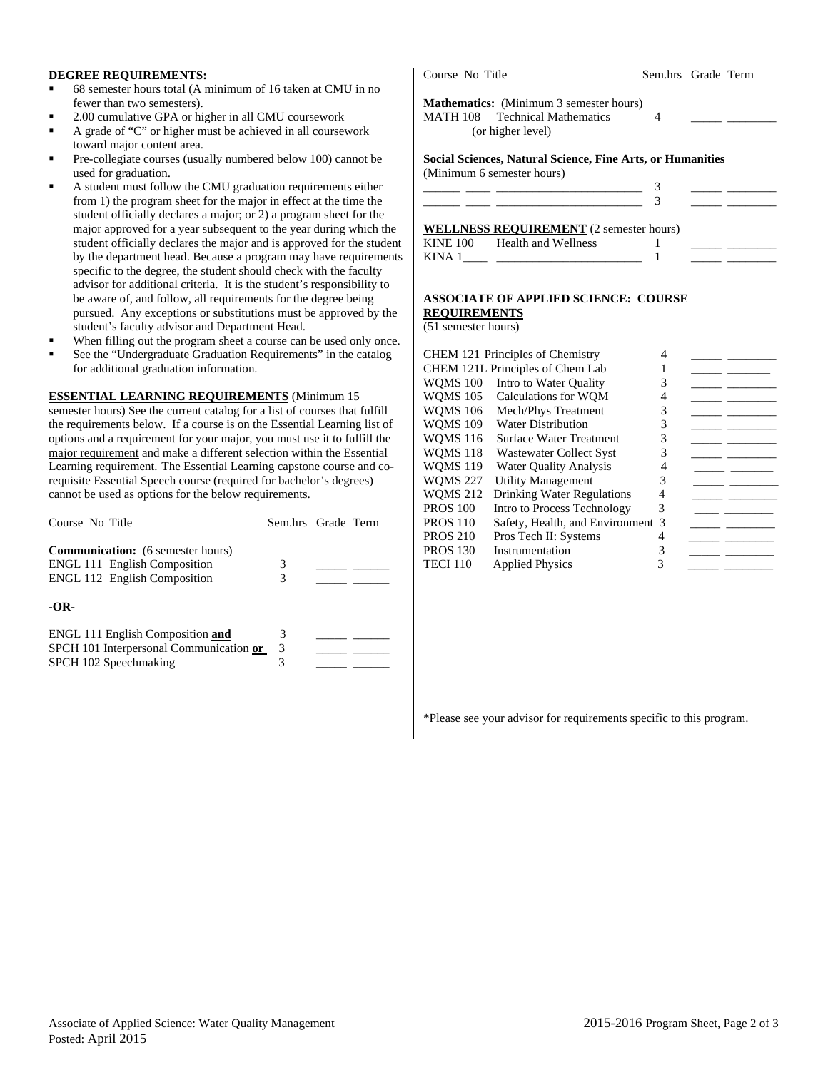### **DEGREE REQUIREMENTS:**

- 68 semester hours total (A minimum of 16 taken at CMU in no fewer than two semesters).
- 2.00 cumulative GPA or higher in all CMU coursework
- A grade of "C" or higher must be achieved in all coursework toward major content area.
- Pre-collegiate courses (usually numbered below 100) cannot be used for graduation.
- A student must follow the CMU graduation requirements either from 1) the program sheet for the major in effect at the time the student officially declares a major; or 2) a program sheet for the major approved for a year subsequent to the year during which the student officially declares the major and is approved for the stud by the department head. Because a program may have requireme specific to the degree, the student should check with the faculty advisor for additional criteria. It is the student's responsibility to be aware of, and follow, all requirements for the degree being pursued. Any exceptions or substitutions must be approved by t student's faculty advisor and Department Head.
- When filling out the program sheet a course can be used only on
- See the "Undergraduate Graduation Requirements" in the catalog for additional graduation information.

### **ESSENTIAL LEARNING REQUIREMENTS** (Minimum 15

semester hours) See the current catalog for a list of courses that fulfill the requirements below. If a course is on the Essential Learning list of options and a requirement for your major, you must use it to fulfill the major requirement and make a different selection within the Essential Learning requirement. The Essential Learning capstone course and corequisite Essential Speech course (required for bachelor's degrees) cannot be used as options for the below requirements.

| Course No Title                                                                                                        | Sem.hrs Grade Term |  |
|------------------------------------------------------------------------------------------------------------------------|--------------------|--|
| <b>Communication:</b> (6 semester hours)<br><b>ENGL 111 English Composition</b><br><b>ENGL 112 English Composition</b> | 3<br>3             |  |
| $-OR-$                                                                                                                 |                    |  |
| <b>ENGL 111 English Composition and</b><br>SPCH 101 Interpersonal Communication or<br>SPCH 102 Speechmaking            | 3<br>3             |  |

| Course No Title     |                                                                                                       |                          | Sem.hrs Grade Term                                                                                 |
|---------------------|-------------------------------------------------------------------------------------------------------|--------------------------|----------------------------------------------------------------------------------------------------|
|                     | <b>Mathematics:</b> (Minimum 3 semester hours)<br>MATH 108 Technical Mathematics<br>(or higher level) | $\overline{\mathcal{A}}$ |                                                                                                    |
|                     | <b>Social Sciences, Natural Science, Fine Arts, or Humanities</b>                                     |                          |                                                                                                    |
|                     | (Minimum 6 semester hours)                                                                            | 3                        |                                                                                                    |
|                     |                                                                                                       |                          |                                                                                                    |
|                     | KINE 100 Health and Wellness<br>KINA $1 \_$ $\_$                                                      | 1                        | <u> 1989 - John Barn Barn, mars a</u><br><u> 1990 - Jan James James Barnett, primeirant et al.</u> |
|                     | <b>ASSOCIATE OF APPLIED SCIENCE: COURSE</b>                                                           |                          |                                                                                                    |
| <b>REQUIREMENTS</b> |                                                                                                       |                          |                                                                                                    |
| (51 semester hours) |                                                                                                       |                          |                                                                                                    |
|                     | <b>CHEM 121 Principles of Chemistry</b>                                                               | 4                        |                                                                                                    |
|                     | CHEM 121L Principles of Chem Lab                                                                      | $\mathbf{1}$             | $\overline{\phantom{a}}$ and $\overline{\phantom{a}}$                                              |
|                     | WQMS 100 Intro to Water Quality                                                                       | 3                        |                                                                                                    |
|                     | WQMS 105 Calculations for WQM                                                                         | 4                        | <u> 1989 - Andrea Station Books, amerikansk politiker (</u>                                        |
|                     | WQMS 106 Mech/Phys Treatment                                                                          | $\mathfrak{Z}$           |                                                                                                    |
| WOMS 109            | <b>Water Distribution</b>                                                                             | 3                        |                                                                                                    |

WQMS 116 Surface Water Treatment 3 WQMS 118 Wastewater Collect Syst 3 WQMS 119 Water Quality Analysis 4 WQMS 227 Utility Management 3 WQMS 212 Drinking Water Regulations 4 PROS 100 Intro to Process Technology 3 PROS 110 Safety, Health, and Environment 3 PROS 210 Pros Tech II: Systems 4 PROS 130 Instrumentation 3 TECI 110 Applied Physics 3

### \*Please see your advisor for requirements specific to this program.